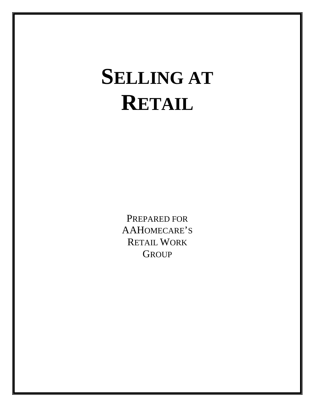# **SELLING AT RETAIL**

PREPARED FOR AAHOMECARE'S RETAIL WORK **GROUP**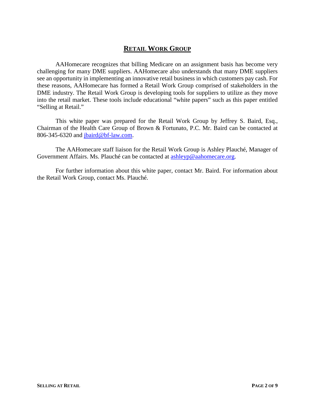# **RETAIL WORK GROUP**

AAHomecare recognizes that billing Medicare on an assignment basis has become very challenging for many DME suppliers. AAHomecare also understands that many DME suppliers see an opportunity in implementing an innovative retail business in which customers pay cash. For these reasons, AAHomecare has formed a Retail Work Group comprised of stakeholders in the DME industry. The Retail Work Group is developing tools for suppliers to utilize as they move into the retail market. These tools include educational "white papers" such as this paper entitled "Selling at Retail."

This white paper was prepared for the Retail Work Group by Jeffrey S. Baird, Esq., Chairman of the Health Care Group of Brown & Fortunato, P.C. Mr. Baird can be contacted at 806-345-6320 and [jbaird@bf-law.com.](mailto:jbaird@bf-law.com)

The AAHomecare staff liaison for the Retail Work Group is Ashley Plauché, Manager of Government Affairs. Ms. Plauché can be contacted at [ashleyp@aahomecare.org.](mailto:ashleyp@aahomecare.org)

For further information about this white paper, contact Mr. Baird. For information about the Retail Work Group, contact Ms. Plauché.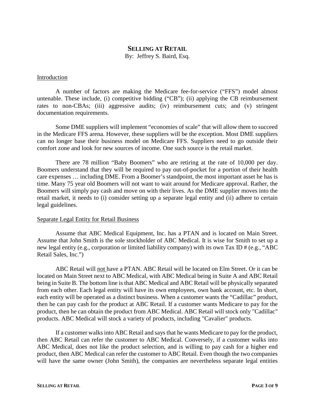# **SELLING AT RETAIL**

By: Jeffrey S. Baird, Esq.

#### Introduction

A number of factors are making the Medicare fee-for-service ("FFS") model almost untenable. These include, (i) competitive bidding ("CB"); (ii) applying the CB reimbursement rates to non-CBAs; (iii) aggressive audits; (iv) reimbursement cuts; and (v) stringent documentation requirements.

Some DME suppliers will implement "economies of scale" that will allow them to succeed in the Medicare FFS arena. However, these suppliers will be the exception. Most DME suppliers can no longer base their business model on Medicare FFS. Suppliers need to go outside their comfort zone and look for new sources of income. One such source is the retail market.

There are 78 million "Baby Boomers" who are retiring at the rate of 10,000 per day. Boomers understand that they will be required to pay out-of-pocket for a portion of their health care expenses … including DME. From a Boomer's standpoint, the most important asset he has is time. Many 75 year old Boomers will not want to wait around for Medicare approval. Rather, the Boomers will simply pay cash and move on with their lives. As the DME supplier moves into the retail market, it needs to (i) consider setting up a separate legal entity and (ii) adhere to certain legal guidelines.

#### Separate Legal Entity for Retail Business

Assume that ABC Medical Equipment, Inc. has a PTAN and is located on Main Street. Assume that John Smith is the sole stockholder of ABC Medical. It is wise for Smith to set up a new legal entity (e.g., corporation or limited liability company) with its own Tax ID # (e.g., "ABC Retail Sales, Inc.")

ABC Retail will not have a PTAN. ABC Retail will be located on Elm Street. Or it can be located on Main Street next to ABC Medical, with ABC Medical being in Suite A and ABC Retail being in Suite B. The bottom line is that ABC Medical and ABC Retail will be physically separated from each other. Each legal entity will have its own employees, own bank account, etc. In short, each entity will be operated as a distinct business. When a customer wants the "Cadillac" product, then he can pay cash for the product at ABC Retail. If a customer wants Medicare to pay for the product, then he can obtain the product from ABC Medical. ABC Retail will stock only "Cadillac" products. ABC Medical will stock a variety of products, including "Cavalier" products.

If a customer walks into ABC Retail and says that he wants Medicare to pay for the product, then ABC Retail can refer the customer to ABC Medical. Conversely, if a customer walks into ABC Medical, does not like the product selection, and is willing to pay cash for a higher end product, then ABC Medical can refer the customer to ABC Retail. Even though the two companies will have the same owner (John Smith), the companies are nevertheless separate legal entities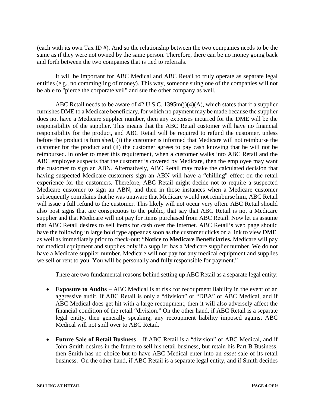(each with its own Tax ID #). And so the relationship between the two companies needs to be the same as if they were not owned by the same person. Therefore, there can be no money going back and forth between the two companies that is tied to referrals.

It will be important for ABC Medical and ABC Retail to truly operate as separate legal entities (e.g., no commingling of money). This way, someone suing one of the companies will not be able to "pierce the corporate veil" and sue the other company as well.

ABC Retail needs to be aware of 42 U.S.C. 1395m(j)(4)(A), which states that if a supplier furnishes DME to a Medicare beneficiary, for which no payment may be made because the supplier does not have a Medicare supplier number, then any expenses incurred for the DME will be the responsibility of the supplier. This means that the ABC Retail customer will have no financial responsibility for the product, and ABC Retail will be required to refund the customer, unless before the product is furnished, (i) the customer is informed that Medicare will not reimburse the customer for the product and (ii) the customer agrees to pay cash knowing that he will not be reimbursed. In order to meet this requirement, when a customer walks into ABC Retail and the ABC employee suspects that the customer is covered by Medicare, then the employee may want the customer to sign an ABN. Alternatively, ABC Retail may make the calculated decision that having suspected Medicare customers sign an ABN will have a "chilling" effect on the retail experience for the customers. Therefore, ABC Retail might decide not to require a suspected Medicare customer to sign an ABN; and then in those instances when a Medicare customer subsequently complains that he was unaware that Medicare would not reimburse him, ABC Retail will issue a full refund to the customer. This likely will not occur very often. ABC Retail should also post signs that are conspicuous to the public, that say that ABC Retail is not a Medicare supplier and that Medicare will not pay for items purchased from ABC Retail. Now let us assume that ABC Retail desires to sell items for cash over the internet. ABC Retail's web page should have the following in large bold type appear as soon as the customer clicks on a link to view DME, as well as immediately prior to check-out: "**Notice to Medicare Beneficiaries.** Medicare will pay for medical equipment and supplies only if a supplier has a Medicare supplier number. We do not have a Medicare supplier number. Medicare will not pay for any medical equipment and supplies we sell or rent to you. You will be personally and fully responsible for payment."

There are two fundamental reasons behind setting up ABC Retail as a separate legal entity:

- **Exposure to Audits** ABC Medical is at risk for recoupment liability in the event of an aggressive audit. If ABC Retail is only a "division" or "DBA" of ABC Medical, and if ABC Medical does get hit with a large recoupment, then it will also adversely affect the financial condition of the retail "division." On the other hand, if ABC Retail is a separate legal entity, then generally speaking, any recoupment liability imposed against ABC Medical will not spill over to ABC Retail.
- **Future Sale of Retail Business –** If ABC Retail is a "division" of ABC Medical, and if John Smith desires in the future to sell his retail business, but retain his Part B Business, then Smith has no choice but to have ABC Medical enter into an *asset* sale of its retail business. On the other hand, if ABC Retail is a separate legal entity, and if Smith decides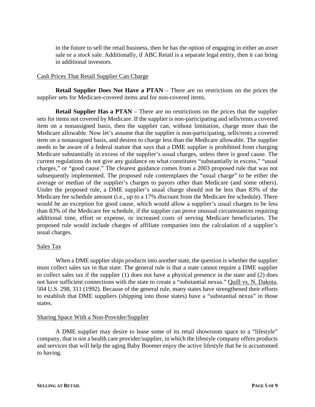in the future to sell the retail business, then he has the option of engaging in either an *asset*  sale or a *stock* sale. Additionally, if ABC Retail is a separate legal entity, then it can bring in additional investors.

# Cash Prices That Retail Supplier Can Charge

**Retail Supplier Does Not Have a PTAN** – There are no restrictions on the prices the supplier sets for Medicare-covered items and for non-covered items.

**Retail Supplier Has a PTAN** – There are no restrictions on the prices that the supplier sets for items not covered by Medicare. If the supplier is non-participating and sells/rents a covered item on a nonassigned basis, then the supplier can, without limitation, charge more than the Medicare allowable. Now let's assume that the supplier is non-participating, sells/rents a covered item on a nonassigned basis, and desires to charge less than the Medicare allowable. The supplier needs to be aware of a federal statute that says that a DME supplier is prohibited from charging Medicare substantially in excess of the supplier's usual charges, unless there is good cause. The current regulations do not give any guidance on what constitutes "substantially in excess," "usual charges," or "good cause." The clearest guidance comes from a 2003 proposed rule that was not subsequently implemented. The proposed rule contemplates the "usual charge" to be either the average or median of the supplier's charges to payors other than Medicare (and some others). Under the proposed rule, a DME supplier's usual charge should not be less than 83% of the Medicare fee schedule amount (i.e., up to a 17% discount from the Medicare fee schedule). There would be an exception for good cause, which would allow a supplier's usual charges to be less than 83% of the Medicare fee schedule, if the supplier can prove unusual circumstances requiring additional time, effort or expense, or increased costs of serving Medicare beneficiaries. The proposed rule would include charges of affiliate companies into the calculation of a supplier's usual charges.

## Sales Tax

When a DME supplier ships products into another state, the question is whether the supplier must collect sales tax in that state. The general rule is that a state cannot require a DME supplier to collect sales tax if the supplier (1) does not have a physical presence in the state and (2) does not have sufficient connections with the state to create a "substantial nexus." Quill vs. N. Dakota, 504 U.S. 298, 311 (1992). Because of the general rule, many states have strengthened their efforts to establish that DME suppliers (shipping into those states) have a "substantial nexus" in those states.

## Sharing Space With a Non-Provider/Supplier

A DME supplier may desire to lease some of its retail showroom space to a "lifestyle" company, that is not a health care provider/supplier, in which the lifestyle company offers products and services that will help the aging Baby Boomer enjoy the active lifestyle that he is accustomed to having.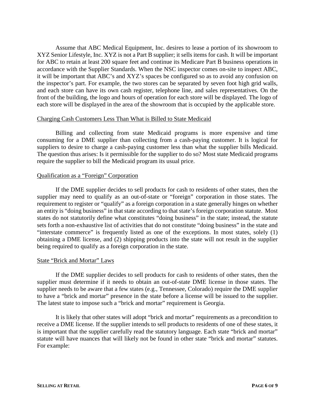Assume that ABC Medical Equipment, Inc. desires to lease a portion of its showroom to XYZ Senior Lifestyle, Inc. XYZ is not a Part B supplier; it sells items for cash. It will be important for ABC to retain at least 200 square feet and continue its Medicare Part B business operations in accordance with the Supplier Standards. When the NSC inspector comes on-site to inspect ABC, it will be important that ABC's and XYZ's spaces be configured so as to avoid any confusion on the inspector's part. For example, the two stores can be separated by seven foot high grid walls, and each store can have its own cash register, telephone line, and sales representatives. On the front of the building, the logo and hours of operation for each store will be displayed. The logo of each store will be displayed in the area of the showroom that is occupied by the applicable store.

#### Charging Cash Customers Less Than What is Billed to State Medicaid

Billing and collecting from state Medicaid programs is more expensive and time consuming for a DME supplier than collecting from a cash-paying customer. It is logical for suppliers to desire to charge a cash-paying customer less than what the supplier bills Medicaid. The question thus arises: Is it permissible for the supplier to do so? Most state Medicaid programs require the supplier to bill the Medicaid program its usual price.

## Qualification as a "Foreign" Corporation

If the DME supplier decides to sell products for cash to residents of other states, then the supplier may need to qualify as an out-of-state or "foreign" corporation in those states. The requirement to register or "qualify" as a foreign corporation in a state generally hinges on whether an entity is "doing business" in that state according to that state's foreign corporation statute. Most states do not statutorily define what constitutes "doing business" in the state; instead, the statute sets forth a non-exhaustive list of activities that do not constitute "doing business" in the state and "interstate commerce" is frequently listed as one of the exceptions. In most states, solely (1) obtaining a DME license, and (2) shipping products into the state will not result in the supplier being required to qualify as a foreign corporation in the state.

## State "Brick and Mortar" Laws

If the DME supplier decides to sell products for cash to residents of other states, then the supplier must determine if it needs to obtain an out-of-state DME license in those states. The supplier needs to be aware that a few states (e.g., Tennessee, Colorado) require the DME supplier to have a "brick and mortar" presence in the state before a license will be issued to the supplier. The latest state to impose such a "brick and mortar" requirement is Georgia.

It is likely that other states will adopt "brick and mortar" requirements as a precondition to receive a DME license. If the supplier intends to sell products to residents of one of these states, it is important that the supplier carefully read the statutory language. Each state "brick and mortar" statute will have nuances that will likely not be found in other state "brick and mortar" statutes. For example: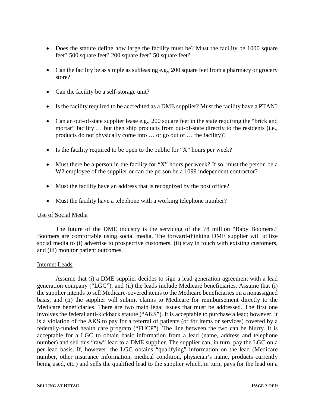- Does the statute define how large the facility must be? Must the facility be 1000 square feet? 500 square feet? 200 square feet? 50 square feet?
- Can the facility be as simple as subleasing e.g., 200 square feet from a pharmacy or grocery store?
- Can the facility be a self-storage unit?
- Is the facility required to be accredited as a DME supplier? Must the facility have a PTAN?
- Can an out-of-state supplier lease e.g., 200 square feet in the state requiring the "brick and mortar" facility ... but then ship products from out-of-state directly to the residents (i.e., products do not physically come into … or go out of … the facility)?
- Is the facility required to be open to the public for "X" hours per week?
- Must there be a person in the facility for "X" hours per week? If so, must the person be a W<sub>2</sub> employee of the supplier or can the person be a 1099 independent contractor?
- Must the facility have an address that is recognized by the post office?
- Must the facility have a telephone with a working telephone number?

#### Use of Social Media

The future of the DME industry is the servicing of the 78 million "Baby Boomers." Boomers are comfortable using social media. The forward-thinking DME supplier will utilize social media to (i) advertise to prospective customers, (ii) stay in touch with existing customers, and (iii) monitor patient outcomes.

#### Internet Leads

Assume that (i) a DME supplier decides to sign a lead generation agreement with a lead generation company ("LGC"), and (ii) the leads include Medicare beneficiaries. Assume that (i) the supplier intends to sell Medicare-covered items to the Medicare beneficiaries on a nonassigned basis, and (ii) the supplier will submit claims to Medicare for reimbursement directly to the Medicare beneficiaries. There are two main legal issues that must be addressed. The first one involves the federal anti-kickback statute ("AKS"). It is acceptable to purchase a lead; however, it is a violation of the AKS to pay for a referral of patients (or for items or services) covered by a federally-funded health care program ("FHCP"). The line between the two can be blurry. It is acceptable for a LGC to obtain basic information from a lead (name, address and telephone number) and sell this "raw" lead to a DME supplier. The supplier can, in turn, pay the LGC on a per lead basis. If, however, the LGC obtains "qualifying" information on the lead (Medicare number, other insurance information, medical condition, physician's name, products currently being used, etc.) and sells the qualified lead to the supplier which, in turn, pays for the lead on a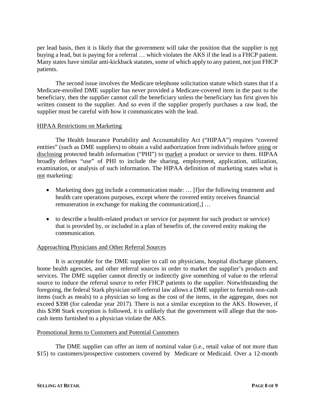per lead basis, then it is likely that the government will take the position that the supplier is not buying a lead, but is paying for a referral … which violates the AKS if the lead is a FHCP patient. Many states have similar anti-kickback statutes, some of which apply to any patient, not just FHCP patients.

The second issue involves the Medicare telephone solicitation statute which states that if a Medicare-enrolled DME supplier has never provided a Medicare-covered item in the past to the beneficiary, then the supplier cannot call the beneficiary unless the beneficiary has first given his written consent to the supplier. And so even if the supplier properly purchases a raw lead, the supplier must be careful with how it communicates with the lead.

#### HIPAA Restrictions on Marketing

The Health Insurance Portability and Accountability Act ("HIPAA") requires "covered entities" (such as DME suppliers) to obtain a valid authorization from individuals before using or disclosing protected health information ("PHI") to market a product or service to them. HIPAA broadly defines "use" of PHI to include the sharing, employment, application, utilization, examination, or analysis of such information. The HIPAA definition of marketing states what is not marketing:

- Marketing does not include a communication made: ... [f]or the following treatment and health care operations purposes, except where the covered entity receives financial remuneration in exchange for making the communication[,] …
- to describe a health-related product or service (or payment for such product or service) that is provided by, or included in a plan of benefits of, the covered entity making the communication.

## Approaching Physicians and Other Referral Sources

It is acceptable for the DME supplier to call on physicians, hospital discharge planners, home health agencies, and other referral sources in order to market the supplier's products and services. The DME supplier cannot directly or indirectly give something of value to the referral source to induce the referral source to refer FHCP patients to the supplier. Notwithstanding the foregoing, the federal Stark physician self-referral law allows a DME supplier to furnish non-cash items (such as meals) to a physician so long as the cost of the items, in the aggregate, does not exceed \$398 (for calendar year 2017). There is not a similar exception to the AKS. However, if this \$398 Stark exception is followed, it is unlikely that the government will allege that the noncash items furnished to a physician violate the AKS.

## Promotional Items to Customers and Potential Customers

The DME supplier can offer an item of nominal value (i.e., retail value of not more than \$15) to customers/prospective customers covered by Medicare or Medicaid. Over a 12-month